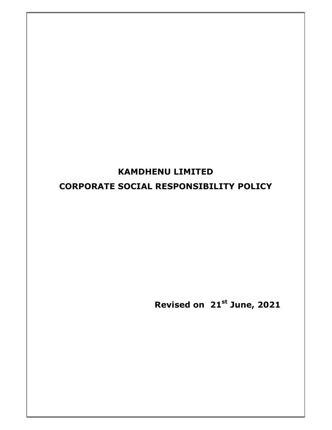# KAMDHENU LIMITED CORPORATE SOCIAL RESPONSIBILITY POLICY

Revised on 21st June, 2021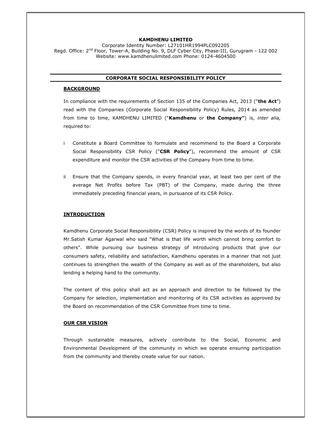## KAMDHENU LIMITED

Corporate Identity Number: L27101HR1994PLC092205 Regd. Office: 2<sup>nd</sup> Floor, Tower-A, Building No. 9, DLF Cyber City, Phase-III, Gurugram - 122 002 Website: www.kamdhenulimited.com Phone: 0124-4604500

# CORPORATE SOCIAL RESPONSIBILITY POLICY

# BACKGROUND

In compliance with the requirements of Section 135 of the Companies Act, 2013 ("the Act") read with the Companies (Corporate Social Responsibility Policy) Rules, 2014 as amended from time to time, KAMDHENU LIMITED ("Kamdhenu or the Company") is, inter alia, required to:

- i Constitute a Board Committee to formulate and recommend to the Board a Corporate Social Responsibility CSR Policy ("CSR Policy"), recommend the amount of CSR expenditure and monitor the CSR activities of the Company from time to time.
- ii Ensure that the Company spends, in every financial year, at least two per cent of the average Net Profits before Tax (PBT) of the Company, made during the three immediately preceding financial years, in pursuance of its CSR Policy.

# **INTRODUCTION**

Kamdhenu Corporate Social Responsibility (CSR) Policy is inspired by the words of its founder Mr.Satish Kumar Agarwal who said "What is that life worth which cannot bring comfort to others". While pursuing our business strategy of introducing products that give our consumers safety, reliability and satisfaction, Kamdhenu operates in a manner that not just continues to strengthen the wealth of the Company as well as of the shareholders, but also lending a helping hand to the community.

The content of this policy shall act as an approach and direction to be followed by the Company for selection, implementation and monitoring of its CSR activities as approved by the Board on recommendation of the CSR Committee from time to time.

# OUR CSR VISION

Through sustainable measures, actively contribute to the Social, Economic and Environmental Development of the community in which we operate ensuring participation from the community and thereby create value for our nation.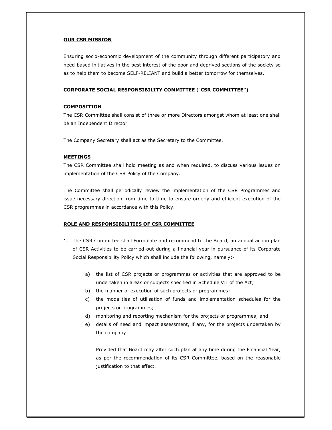# OUR CSR MISSION

Ensuring socio-economic development of the community through different participatory and need-based initiatives in the best interest of the poor and deprived sections of the society so as to help them to become SELF-RELIANT and build a better tomorrow for themselves.

# CORPORATE SOCIAL RESPONSIBILITY COMMITTEE ("CSR COMMITTEE")

# **COMPOSITION**

The CSR Committee shall consist of three or more Directors amongst whom at least one shall be an Independent Director.

The Company Secretary shall act as the Secretary to the Committee.

#### **MEETINGS**

The CSR Committee shall hold meeting as and when required, to discuss various issues on implementation of the CSR Policy of the Company.

The Committee shall periodically review the implementation of the CSR Programmes and issue necessary direction from time to time to ensure orderly and efficient execution of the CSR programmes in accordance with this Policy.

# ROLE AND RESPONSIBILITIES OF CSR COMMITTEE

- 1. The CSR Committee shall Formulate and recommend to the Board, an annual action plan of CSR Activities to be carried out during a financial year in pursuance of its Corporate Social Responsibility Policy which shall include the following, namely:
	- a) the list of CSR projects or programmes or activities that are approved to be undertaken in areas or subjects specified in Schedule VII of the Act;
	- b) the manner of execution of such projects or programmes;
	- c) the modalities of utilisation of funds and implementation schedules for the projects or programmes;
	- d) monitoring and reporting mechanism for the projects or programmes; and
	- e) details of need and impact assessment, if any, for the projects undertaken by the company:

Provided that Board may alter such plan at any time during the Financial Year, as per the recommendation of its CSR Committee, based on the reasonable justification to that effect.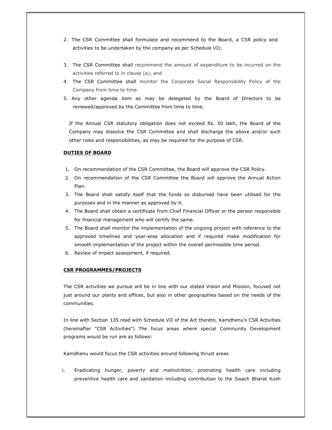- 2. The CSR Committee shall formulate and recommend to the Board, a CSR policy and activities to be undertaken by the company as per Schedule VII;
- 3. The CSR Committee shall recommend the amount of expenditure to be incurred on the activities referred to in clause (a); and
- 4. The CSR Committee shall monitor the Corporate Social Responsibility Policy of the Company from time to time.
- 5. Any other agenda item as may be delegated by the Board of Directors to be reviewed/approved by the Committee from time to time.

If the Annual CSR statutory obligation does not exceed Rs. 50 lakh, the Board of the Company may dissolve the CSR Committee and shall discharge the above and/or such other roles and responsibilities, as may be required for the purpose of CSR.

# DUTIES OF BOARD

- 1. On recommendation of the CSR Committee, the Board will approve the CSR Policy.
- 2. On recommendation of the CSR Committee the Board will approve the Annual Action Plan.
- 3. The Board shall satisfy itself that the funds so disbursed have been utilised for the purposes and in the manner as approved by it.
- 4. The Board shall obtain a certificate from Chief Financial Officer or the person responsible for financial management who will certify the same.
- 5. The Board shall monitor the implementation of the ongoing project with reference to the approved timelines and year-wise allocation and if required make modification for smooth implementation of the project within the overall permissible time period.
- 6. Review of impact assessment, if required.

# CSR PROGRAMMES/PROJECTS

The CSR activities we pursue will be in line with our stated Vision and Mission, focused not just around our plants and offices, but also in other geographies based on the needs of the communities.

In line with Section 135 read with Schedule VII of the Act thereto, Kamdhenu's CSR Activities (hereinafter "CSR Activities") The focus areas where special Community Development programs would be run are as follows:

Kamdhenu would focus the CSR activities around following thrust areas

i. Eradicating hunger, poverty and malnutrition, promoting health care including preventive health care and sanitation including contribution to the Swach Bharat Kosh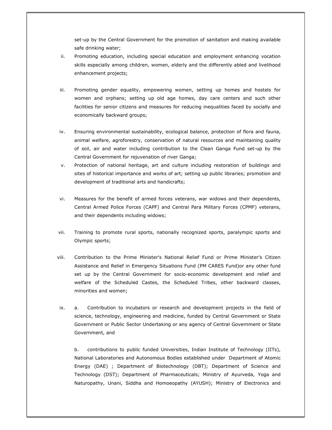set-up by the Central Government for the promotion of sanitation and making available safe drinking water;

- ii. Promoting education, including special education and employment enhancing vocation skills especially among children, women, elderly and the differently abled and livelihood enhancement projects;
- iii. Promoting gender equality, empowering women, setting up homes and hostels for women and orphans; setting up old age homes, day care centers and such other facilities for senior citizens and measures for reducing inequalities faced by socially and economically backward groups;
- iv. Ensuring environmental sustainability, ecological balance, protection of flora and fauna, animal welfare, agroforestry, conservation of natural resources and maintaining quality of soil, air and water including contribution to the Clean Ganga Fund set-up by the Central Government for rejuvenation of river Ganga;
- v. Protection of national heritage, art and culture including restoration of buildings and sites of historical importance and works of art; setting up public libraries; promotion and development of traditional arts and handicrafts;
- vi. Measures for the benefit of armed forces veterans, war widows and their dependents, Central Armed Police Forces (CAPF) and Central Para Military Forces (CPMF) veterans, and their dependents including widows;
- vii. Training to promote rural sports, nationally recognized sports, paralympic sports and Olympic sports;
- viii. Contribution to the Prime Minister's National Relief Fund or Prime Minister's Citizen Assistance and Relief in Emergency Situations Fund (PM CARES Fund)or any other fund set up by the Central Government for socio-economic development and relief and welfare of the Scheduled Castes, the Scheduled Tribes, other backward classes, minorities and women;
- ix. a. Contribution to incubators or research and development projects in the field of science, technology, engineering and medicine, funded by Central Government or State Government or Public Sector Undertaking or any agency of Central Government or State Government, and

b. contributions to public funded Universities, Indian Institute of Technology (IITs), National Laboratories and Autonomous Bodies established under Department of Atomic Energy (DAE) ; Department of Biotechnology (DBT); Department of Science and Technology (DST); Department of Pharmaceuticals; Ministry of Ayurveda, Yoga and Naturopathy, Unani, Siddha and Homoeopathy (AYUSH); Ministry of Electronics and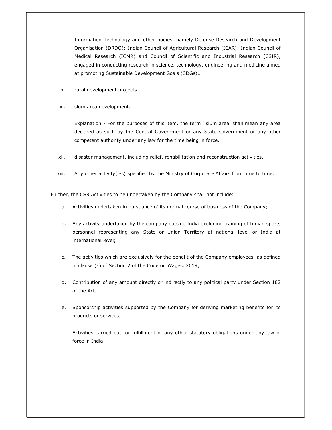Information Technology and other bodies, namely Defense Research and Development Organisation (DRDO); Indian Council of Agricultural Research (ICAR); Indian Council of Medical Research (ICMR) and Council of Scientific and Industrial Research (CSIR), engaged in conducting research in science, technology, engineering and medicine aimed at promoting Sustainable Development Goals (SDGs)..

- x. rural development projects
- xi. slum area development.

Explanation - For the purposes of this item, the term `slum area' shall mean any area declared as such by the Central Government or any State Government or any other competent authority under any law for the time being in force.

- xii. disaster management, including relief, rehabilitation and reconstruction activities.
- xiii. Any other activity(ies) specified by the Ministry of Corporate Affairs from time to time.

Further, the CSR Activities to be undertaken by the Company shall not include:

- a. Activities undertaken in pursuance of its normal course of business of the Company;
- b. Any activity undertaken by the company outside India excluding training of Indian sports personnel representing any State or Union Territory at national level or India at international level;
- c. The activities which are exclusively for the benefit of the Company employees as defined in clause (k) of Section 2 of the Code on Wages, 2019;
- d. Contribution of any amount directly or indirectly to any political party under Section 182 of the Act;
- e. Sponsorship activities supported by the Company for deriving marketing benefits for its products or services;
- f. Activities carried out for fulfillment of any other statutory obligations under any law in force in India.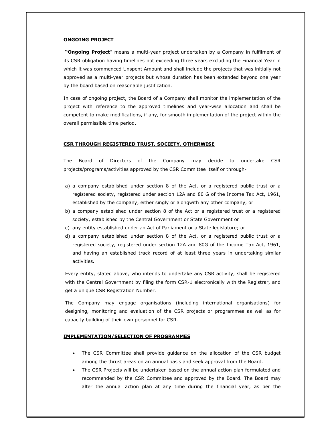# ONGOING PROJECT

"Ongoing Project" means a multi-year project undertaken by a Company in fulfilment of its CSR obligation having timelines not exceeding three years excluding the Financial Year in which it was commenced Unspent Amount and shall include the projects that was initially not approved as a multi-year projects but whose duration has been extended beyond one year by the board based on reasonable justification.

In case of ongoing project, the Board of a Company shall monitor the implementation of the project with reference to the approved timelines and year-wise allocation and shall be competent to make modifications, if any, for smooth implementation of the project within the overall permissible time period.

#### CSR THROUGH REGISTERED TRUST, SOCIETY, OTHERWISE

The Board of Directors of the Company may decide to undertake CSR projects/programs/activities approved by the CSR Committee itself or through-

- a) a company established under section 8 of the Act, or a registered public trust or a registered society, registered under section 12A and 80 G of the Income Tax Act, 1961, established by the company, either singly or alongwith any other company, or
- b) a company established under section 8 of the Act or a registered trust or a registered society, established by the Central Government or State Government or
- c) any entity established under an Act of Parliament or a State legislature; or
- d) a company established under section 8 of the Act, or a registered public trust or a registered society, registered under section 12A and 80G of the Income Tax Act, 1961, and having an established track record of at least three years in undertaking similar activities.

Every entity, stated above, who intends to undertake any CSR activity, shall be registered with the Central Government by filing the form CSR-1 electronically with the Registrar, and get a unique CSR Registration Number.

The Company may engage organisations (including international organisations) for designing, monitoring and evaluation of the CSR projects or programmes as well as for capacity building of their own personnel for CSR.

#### IMPLEMENTATION/SELECTION OF PROGRAMMES

- The CSR Committee shall provide guidance on the allocation of the CSR budget among the thrust areas on an annual basis and seek approval from the Board.
- The CSR Projects will be undertaken based on the annual action plan formulated and recommended by the CSR Committee and approved by the Board. The Board may alter the annual action plan at any time during the financial year, as per the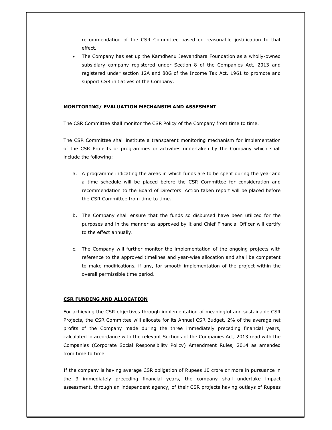recommendation of the CSR Committee based on reasonable justification to that effect.

 The Company has set up the Kamdhenu Jeevandhara Foundation as a wholly-owned subsidiary company registered under Section 8 of the Companies Act, 2013 and registered under section 12A and 80G of the Income Tax Act, 1961 to promote and support CSR initiatives of the Company.

# MONITORING/ EVALUATION MECHANSIM AND ASSESMENT

The CSR Committee shall monitor the CSR Policy of the Company from time to time.

The CSR Committee shall institute a transparent monitoring mechanism for implementation of the CSR Projects or programmes or activities undertaken by the Company which shall include the following:

- a. A programme indicating the areas in which funds are to be spent during the year and a time schedule will be placed before the CSR Committee for consideration and recommendation to the Board of Directors. Action taken report will be placed before the CSR Committee from time to time.
- b. The Company shall ensure that the funds so disbursed have been utilized for the purposes and in the manner as approved by it and Chief Financial Officer will certify to the effect annually.
- c. The Company will further monitor the implementation of the ongoing projects with reference to the approved timelines and year-wise allocation and shall be competent to make modifications, if any, for smooth implementation of the project within the overall permissible time period.

## CSR FUNDING AND ALLOCATION

For achieving the CSR objectives through implementation of meaningful and sustainable CSR Projects, the CSR Committee will allocate for its Annual CSR Budget, 2% of the average net profits of the Company made during the three immediately preceding financial years, calculated in accordance with the relevant Sections of the Companies Act, 2013 read with the Companies (Corporate Social Responsibility Policy) Amendment Rules, 2014 as amended from time to time.

If the company is having average CSR obligation of Rupees 10 crore or more in pursuance in the 3 immediately preceding financial years, the company shall undertake impact assessment, through an independent agency, of their CSR projects having outlays of Rupees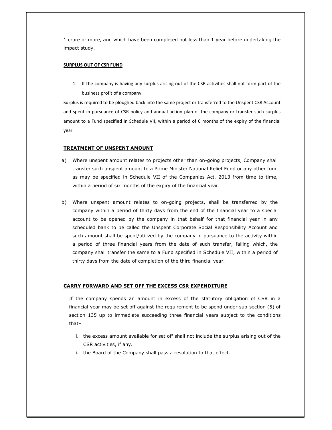1 crore or more, and which have been completed not less than 1 year before undertaking the impact study.

## SURPLUS OUT OF CSR FUND

1. If the company is having any surplus arising out of the CSR activities shall not form part of the business profit of a company.

Surplus is required to be ploughed back into the same project or transferred to the Unspent CSR Account and spent in pursuance of CSR policy and annual action plan of the company or transfer such surplus amount to a Fund specified in Schedule VII, within a period of 6 months of the expiry of the financial year

## TREATMENT OF UNSPENT AMOUNT

- a) Where unspent amount relates to projects other than on-going projects, Company shall transfer such unspent amount to a Prime Minister National Relief Fund or any other fund as may be specified in Schedule VII of the Companies Act, 2013 from time to time, within a period of six months of the expiry of the financial year.
- b) Where unspent amount relates to on-going projects, shall be transferred by the company within a period of thirty days from the end of the financial year to a special account to be opened by the company in that behalf for that financial year in any scheduled bank to be called the Unspent Corporate Social Responsibility Account and such amount shall be spent/utilized by the company in pursuance to the activity within a period of three financial years from the date of such transfer, failing which, the company shall transfer the same to a Fund specified in Schedule VII, within a period of thirty days from the date of completion of the third financial year.

## CARRY FORWARD AND SET OFF THE EXCESS CSR EXPENDITURE

If the company spends an amount in excess of the statutory obligation of CSR in a financial year may be set off against the requirement to be spend under sub-section (5) of section 135 up to immediate succeeding three financial years subject to the conditions that–

- i. the excess amount available for set off shall not include the surplus arising out of the CSR activities, if any.
- ii. the Board of the Company shall pass a resolution to that effect.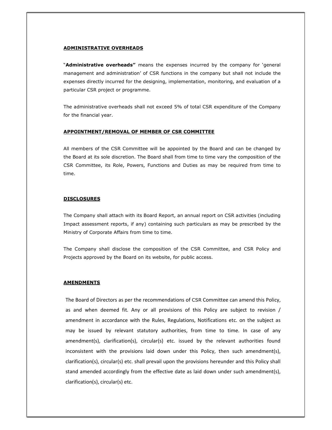# ADMINISTRATIVE OVERHEADS

"Administrative overheads" means the expenses incurred by the company for 'general management and administration' of CSR functions in the company but shall not include the expenses directly incurred for the designing, implementation, monitoring, and evaluation of a particular CSR project or programme.

The administrative overheads shall not exceed 5% of total CSR expenditure of the Company for the financial year.

# APPOINTMENT/REMOVAL OF MEMBER OF CSR COMMITTEE

All members of the CSR Committee will be appointed by the Board and can be changed by the Board at its sole discretion. The Board shall from time to time vary the composition of the CSR Committee, its Role, Powers, Functions and Duties as may be required from time to time.

# **DISCLOSURES**

The Company shall attach with its Board Report, an annual report on CSR activities (including Impact assessment reports, if any) containing such particulars as may be prescribed by the Ministry of Corporate Affairs from time to time.

The Company shall disclose the composition of the CSR Committee, and CSR Policy and Projects approved by the Board on its website, for public access.

# AMENDMENTS

The Board of Directors as per the recommendations of CSR Committee can amend this Policy, as and when deemed fit. Any or all provisions of this Policy are subject to revision / amendment in accordance with the Rules, Regulations, Notifications etc. on the subject as may be issued by relevant statutory authorities, from time to time. In case of any amendment(s), clarification(s), circular(s) etc. issued by the relevant authorities found inconsistent with the provisions laid down under this Policy, then such amendment(s), clarification(s), circular(s) etc. shall prevail upon the provisions hereunder and this Policy shall stand amended accordingly from the effective date as laid down under such amendment(s), clarification(s), circular(s) etc.